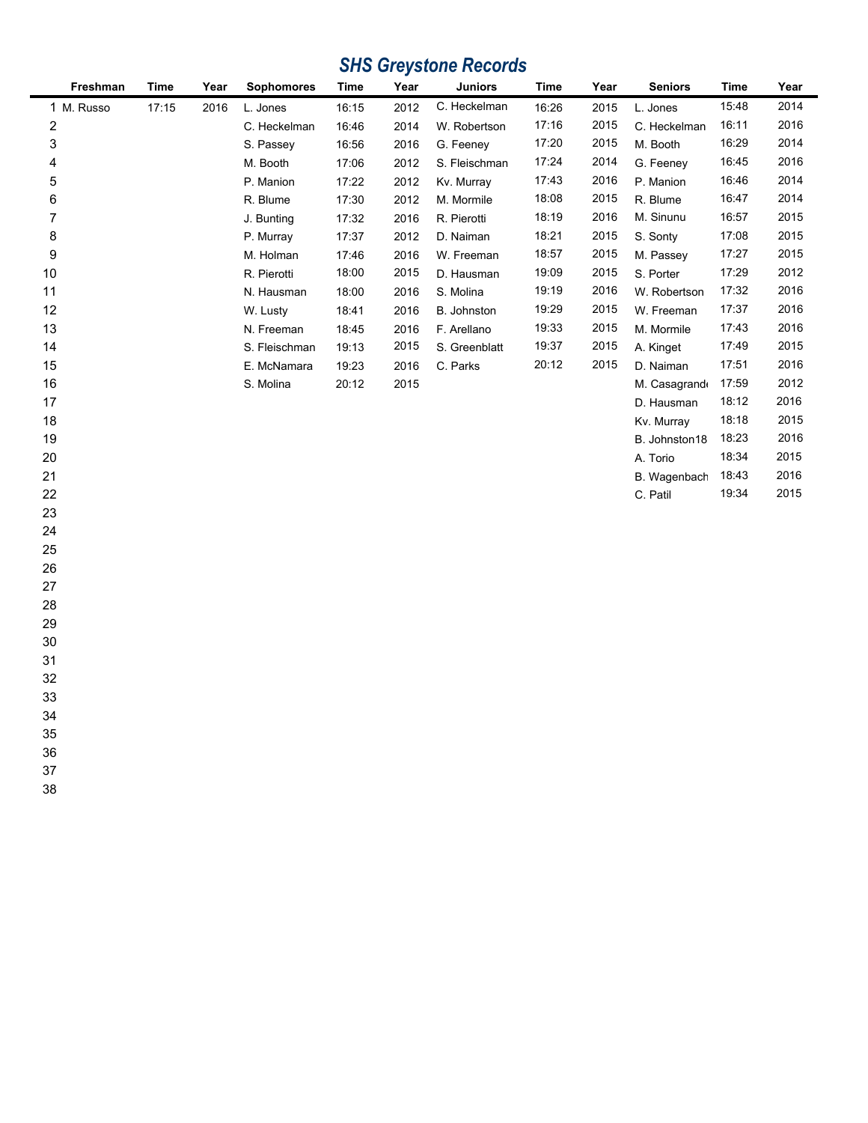# *SHS Greystone Records*

| Freshman   | <b>Time</b> | Year | <b>Sophomores</b> | Time  | Year | <b>Juniors</b> | <b>Time</b> | Year | <b>Seniors</b> | Time  | Year |
|------------|-------------|------|-------------------|-------|------|----------------|-------------|------|----------------|-------|------|
| 1 M. Russo | 17:15       | 2016 | L. Jones          | 16:15 | 2012 | C. Heckelman   | 16:26       | 2015 | L. Jones       | 15:48 | 2014 |
| 2          |             |      | C. Heckelman      | 16:46 | 2014 | W. Robertson   | 17:16       | 2015 | C. Heckelman   | 16:11 | 2016 |
| 3          |             |      | S. Passey         | 16:56 | 2016 | G. Feeney      | 17:20       | 2015 | M. Booth       | 16:29 | 2014 |
| 4          |             |      | M. Booth          | 17:06 | 2012 | S. Fleischman  | 17:24       | 2014 | G. Feeney      | 16:45 | 2016 |
| 5          |             |      | P. Manion         | 17:22 | 2012 | Kv. Murray     | 17:43       | 2016 | P. Manion      | 16:46 | 2014 |
| 6          |             |      | R. Blume          | 17:30 | 2012 | M. Mormile     | 18:08       | 2015 | R. Blume       | 16:47 | 2014 |
| 7          |             |      | J. Bunting        | 17:32 | 2016 | R. Pierotti    | 18:19       | 2016 | M. Sinunu      | 16:57 | 2015 |
| 8          |             |      | P. Murray         | 17:37 | 2012 | D. Naiman      | 18:21       | 2015 | S. Sonty       | 17:08 | 2015 |
| 9          |             |      | M. Holman         | 17:46 | 2016 | W. Freeman     | 18:57       | 2015 | M. Passey      | 17:27 | 2015 |
| 10         |             |      | R. Pierotti       | 18:00 | 2015 | D. Hausman     | 19:09       | 2015 | S. Porter      | 17:29 | 2012 |
| 11         |             |      | N. Hausman        | 18:00 | 2016 | S. Molina      | 19:19       | 2016 | W. Robertson   | 17:32 | 2016 |
| 12         |             |      | W. Lusty          | 18:41 | 2016 | B. Johnston    | 19:29       | 2015 | W. Freeman     | 17:37 | 2016 |
| 13         |             |      | N. Freeman        | 18:45 | 2016 | F. Arellano    | 19:33       | 2015 | M. Mormile     | 17:43 | 2016 |
| 14         |             |      | S. Fleischman     | 19:13 | 2015 | S. Greenblatt  | 19:37       | 2015 | A. Kinget      | 17:49 | 2015 |
| 15         |             |      | E. McNamara       | 19:23 | 2016 | C. Parks       | 20:12       | 2015 | D. Naiman      | 17:51 | 2016 |
| 16         |             |      | S. Molina         | 20:12 | 2015 |                |             |      | M. Casagrand   | 17:59 | 2012 |
| 17         |             |      |                   |       |      |                |             |      | D. Hausman     | 18:12 | 2016 |
| 18         |             |      |                   |       |      |                |             |      | Kv. Murray     | 18:18 | 2015 |
| 19         |             |      |                   |       |      |                |             |      | B. Johnston18  | 18:23 | 2016 |
| 20         |             |      |                   |       |      |                |             |      | A. Torio       | 18:34 | 2015 |
| 21         |             |      |                   |       |      |                |             |      | B. Wagenbach   | 18:43 | 2016 |
| 22         |             |      |                   |       |      |                |             |      | C. Patil       | 19:34 | 2015 |
| 23         |             |      |                   |       |      |                |             |      |                |       |      |
| 24         |             |      |                   |       |      |                |             |      |                |       |      |
| 25         |             |      |                   |       |      |                |             |      |                |       |      |
| 26         |             |      |                   |       |      |                |             |      |                |       |      |
| 27         |             |      |                   |       |      |                |             |      |                |       |      |
| 28         |             |      |                   |       |      |                |             |      |                |       |      |
| 29         |             |      |                   |       |      |                |             |      |                |       |      |
| 30         |             |      |                   |       |      |                |             |      |                |       |      |
| 31         |             |      |                   |       |      |                |             |      |                |       |      |
| 32         |             |      |                   |       |      |                |             |      |                |       |      |
| 33         |             |      |                   |       |      |                |             |      |                |       |      |
| 34         |             |      |                   |       |      |                |             |      |                |       |      |
| 35         |             |      |                   |       |      |                |             |      |                |       |      |
| 36         |             |      |                   |       |      |                |             |      |                |       |      |
| 37         |             |      |                   |       |      |                |             |      |                |       |      |
| 38         |             |      |                   |       |      |                |             |      |                |       |      |
|            |             |      |                   |       |      |                |             |      |                |       |      |